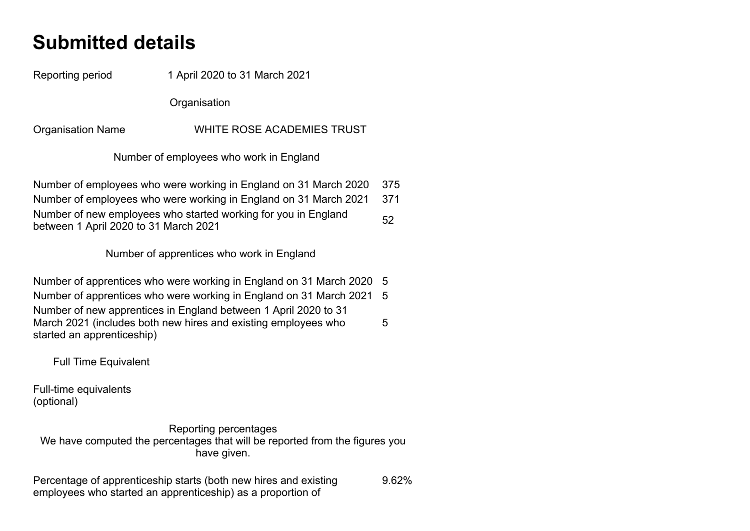## **Submitted details**

Reporting period 1 April 2020 to 31 March 2021

**Organisation** 

Organisation Name WHITE ROSE ACADEMIES TRUST

Number of employees who work in England

Number of employees who were working in England on 31 March 2020 375 Number of employees who were working in England on 31 March 2021 371 Number of new employees who started working for you in England Number of new employees who started working for you in England 52<br>between 1 April 2020 to 31 March 2021

Number of apprentices who work in England

Number of apprentices who were working in England on 31 March 2020 5 Number of apprentices who were working in England on 31 March 2021 5 Number of new apprentices in England between 1 April 2020 to 31 March 2021 (includes both new hires and existing employees who started an apprenticeship) 5

Full Time Equivalent

Full-time equivalents (optional)

Reporting percentages We have computed the percentages that will be reported from the figures you have given.

Percentage of apprenticeship starts (both new hires and existing employees who started an apprenticeship) as a proportion of 9.62%